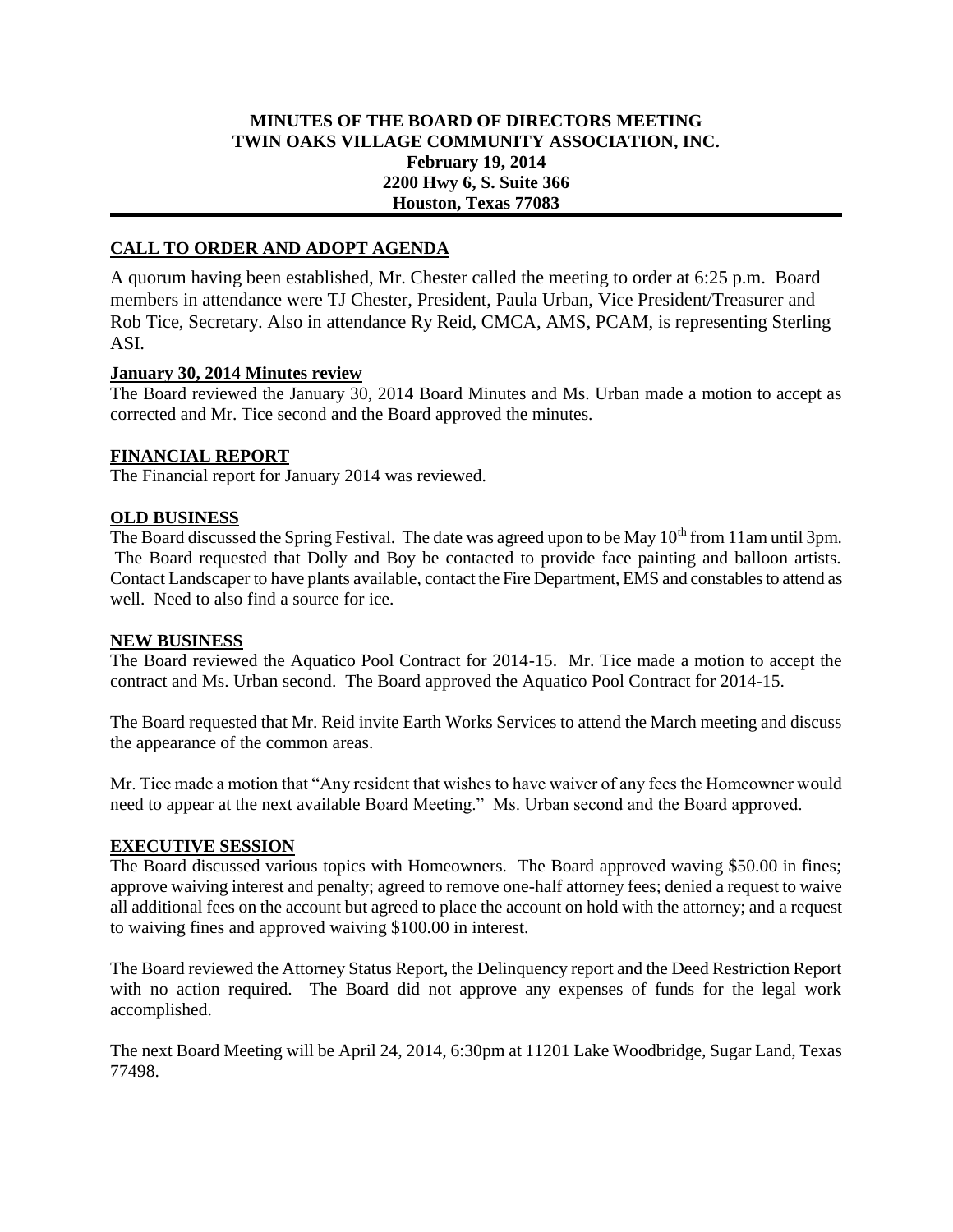## **MINUTES OF THE BOARD OF DIRECTORS MEETING TWIN OAKS VILLAGE COMMUNITY ASSOCIATION, INC. February 19, 2014 2200 Hwy 6, S. Suite 366 Houston, Texas 77083**

# **CALL TO ORDER AND ADOPT AGENDA**

A quorum having been established, Mr. Chester called the meeting to order at 6:25 p.m. Board members in attendance were TJ Chester, President, Paula Urban, Vice President/Treasurer and Rob Tice, Secretary. Also in attendance Ry Reid, CMCA, AMS, PCAM, is representing Sterling ASI.

### **January 30, 2014 Minutes review**

The Board reviewed the January 30, 2014 Board Minutes and Ms. Urban made a motion to accept as corrected and Mr. Tice second and the Board approved the minutes.

## **FINANCIAL REPORT**

The Financial report for January 2014 was reviewed.

### **OLD BUSINESS**

The Board discussed the Spring Festival. The date was agreed upon to be May  $10^{th}$  from 11am until 3pm. The Board requested that Dolly and Boy be contacted to provide face painting and balloon artists. Contact Landscaper to have plants available, contact the Fire Department, EMS and constables to attend as well. Need to also find a source for ice.

#### **NEW BUSINESS**

The Board reviewed the Aquatico Pool Contract for 2014-15. Mr. Tice made a motion to accept the contract and Ms. Urban second. The Board approved the Aquatico Pool Contract for 2014-15.

The Board requested that Mr. Reid invite Earth Works Services to attend the March meeting and discuss the appearance of the common areas.

Mr. Tice made a motion that "Any resident that wishes to have waiver of any fees the Homeowner would need to appear at the next available Board Meeting." Ms. Urban second and the Board approved.

#### **EXECUTIVE SESSION**

The Board discussed various topics with Homeowners. The Board approved waving \$50.00 in fines; approve waiving interest and penalty; agreed to remove one-half attorney fees; denied a request to waive all additional fees on the account but agreed to place the account on hold with the attorney; and a request to waiving fines and approved waiving \$100.00 in interest.

The Board reviewed the Attorney Status Report, the Delinquency report and the Deed Restriction Report with no action required. The Board did not approve any expenses of funds for the legal work accomplished.

The next Board Meeting will be April 24, 2014, 6:30pm at 11201 Lake Woodbridge, Sugar Land, Texas 77498.